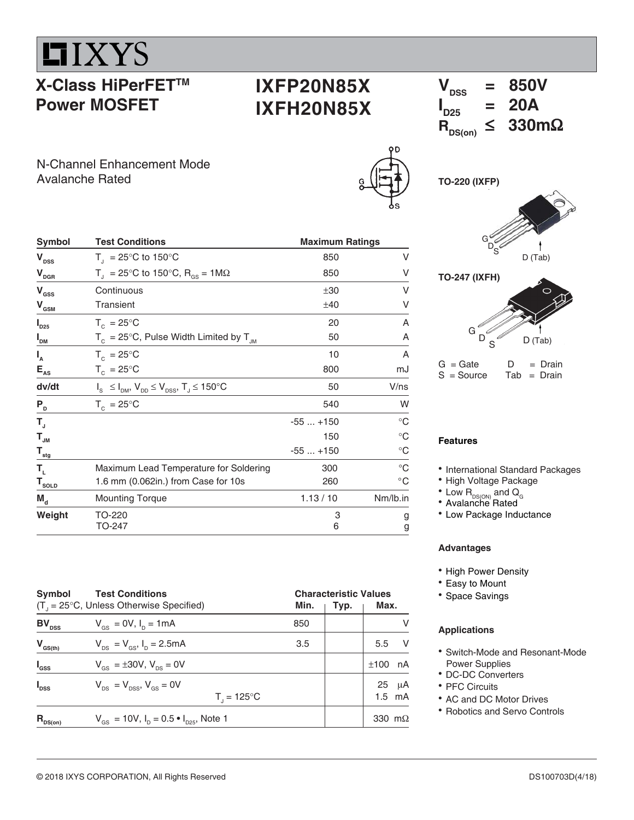

# **X-Class HiPerFETTM Power MOSFET**

# **IXFP20N85X IXFH20N85X**

N-Channel Enhancement Mode Avalanche Rated

| Symbol                                 | <b>Test Conditions</b>                                              | <b>Maximum Ratings</b> |              |  |  |
|----------------------------------------|---------------------------------------------------------------------|------------------------|--------------|--|--|
| $V_{\text{DSS}}$                       | $T_{\text{I}}$ = 25°C to 150°C                                      | 850                    | V            |  |  |
| $\mathbf{V}_{\mathrm{DGR}}$            | $T_{\rm d}$ = 25°C to 150°C, R <sub>os</sub> = 1M $\Omega$          | 850                    | V            |  |  |
| $\mathbf{V}_{\mathrm{GSS}}$            | Continuous                                                          | ±30                    | V            |  |  |
| $\mathbf{V}_{\mathbf{GSM}}$            | Transient                                                           | ±40                    | V            |  |  |
| $I_{D25}$                              | $T_c = 25^{\circ}$ C                                                | 20                     | A            |  |  |
| I <sub>DM</sub>                        | $T_c = 25^{\circ}$ C, Pulse Width Limited by $T_{JM}$               | 50                     | A            |  |  |
| $I_{A}$                                | $T_c = 25^{\circ}$ C                                                | 10                     | A            |  |  |
| $\mathsf{E}_{\mathrm{as}}$             | $T_c = 25^{\circ}C$                                                 | 800                    | mJ           |  |  |
| dv/dt                                  | $I_s \leq I_{DM}$ , $V_{DD} \leq V_{DSS}$ , $T_J \leq 150^{\circ}C$ | 50                     | V/ns         |  |  |
| $P_{D}$                                | $T_c = 25^{\circ}$ C                                                | 540                    | W            |  |  |
| $T_{\rm J}$                            |                                                                     | $-55+150$              | $^{\circ}C$  |  |  |
| $\mathbf{T}_{_{\mathsf{J}\mathsf{M}}}$ |                                                                     | 150                    | $^{\circ}C$  |  |  |
| $\mathsf{T}_{_{\sf stg}}$              |                                                                     | $-55+150$              | $^{\circ}C$  |  |  |
| Т,                                     | Maximum Lead Temperature for Soldering                              | 300                    | $^{\circ}C$  |  |  |
| $T_{\text{sOLD}}$                      | 1.6 mm (0.062in.) from Case for 10s                                 | 260                    | $^{\circ}$ C |  |  |
| $M_{\rm d}$                            | <b>Mounting Torque</b>                                              | 1.13 / 10              | Nm/lb.in     |  |  |
| Weight                                 | TO-220<br>TO-247                                                    | 3<br>6                 | g<br>g       |  |  |





 $V_{\text{rec}}$  = 850V

| $G =$ Gate   | D | $=$ Drain     |
|--------------|---|---------------|
| $S = Source$ |   | $Tab = Drain$ |

#### **Features**

- International Standard Packages
- High Voltage Package
- $^{\bullet}$  Low  $\mathsf{R}_{\textsf{\tiny{DS}(\tiny{ON}\textsf{)}}}$  and  $\mathsf{Q}_{_{\tiny{\textsf{G}}}}$
- Avalanche Rated
- Low Package Inductance

#### **Advantages**

- High Power Density
- Easy to Mount
- Space Savings

#### **Applications**

- Switch-Mode and Resonant-Mode Power Supplies
- DC-DC Converters
- PFC Circuits
- AC and DC Motor Drives
- Robotics and Servo Controls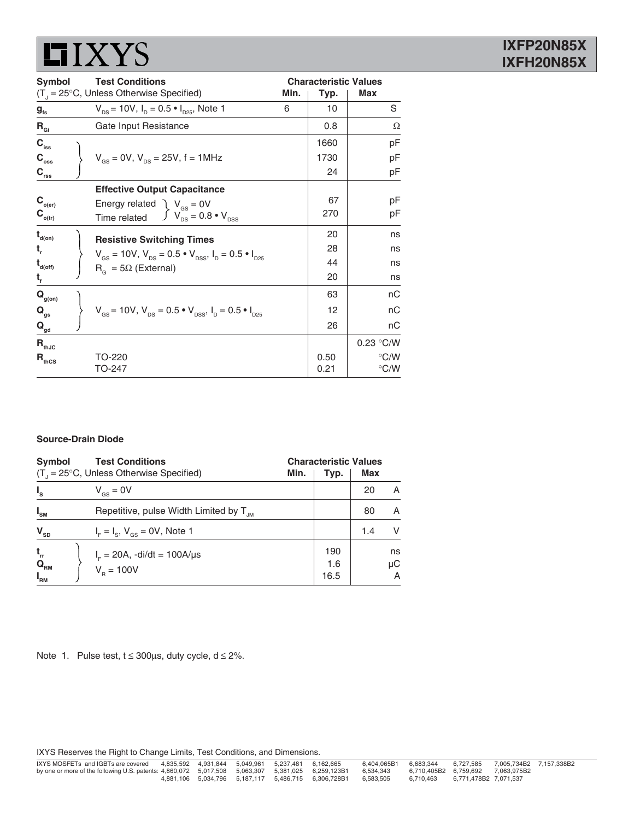# $IIXYZ$

| <b>Test Conditions</b><br><b>Symbol</b>                |                                                                                                                |   | <b>Characteristic Values</b> |               |  |
|--------------------------------------------------------|----------------------------------------------------------------------------------------------------------------|---|------------------------------|---------------|--|
|                                                        | $(T_{\text{d}} = 25^{\circ}C$ , Unless Otherwise Specified)<br>Min.                                            |   | Typ.                         | Max           |  |
| $g_{\rm fs}$                                           | $V_{DS}$ = 10V, $I_D$ = 0.5 $\bullet$ $I_{D25}$ , Note 1                                                       | 6 | 10                           | S             |  |
| $R_{\text{Gi}}$                                        | Gate Input Resistance                                                                                          |   | 0.8                          | Ω             |  |
| $\mathbf{C}_{\mathrm{iss}}$                            |                                                                                                                |   | 1660                         | рF            |  |
| $C_{\rm{oss}}$                                         | $V_{\text{gs}} = 0V$ , $V_{\text{ps}} = 25V$ , f = 1MHz                                                        |   | 1730                         | pF            |  |
| $C_{rss}$                                              |                                                                                                                |   | 24                           | рF            |  |
|                                                        | <b>Effective Output Capacitance</b>                                                                            |   |                              |               |  |
| $\mathbf{C}_{_{\mathrm{o}\left( \mathrm{er}\right) }}$ | Energy related $\sum V_{\rm{gs}} = 0$ V                                                                        |   | 67                           | рF            |  |
| $\mathbf{C}_{_{\mathrm{o(tr)}}}$                       | $\int V_{DS} = 0.8 \cdot V_{DSS}$<br>Time related                                                              |   | 270                          | рF            |  |
| $t_{\text{\tiny d(0n)}}$                               | <b>Resistive Switching Times</b>                                                                               |   | 20                           | ns            |  |
| t,                                                     | $V_{\text{gs}} = 10V$ , $V_{\text{DS}} = 0.5 \cdot V_{\text{DSS}}$ , $I_{\text{D}} = 0.5 \cdot I_{\text{D25}}$ |   | 28                           | ns            |  |
| $\mathbf{t}_{\mathsf{d}(\mathsf{off})}$                |                                                                                                                |   | 44                           | ns            |  |
| $t_{\rm f}$                                            | $R_{\alpha} = 5\Omega$ (External)                                                                              |   | 20                           | ns            |  |
| $\mathbf{Q}_{\text{g(on)}}$                            |                                                                                                                |   | 63                           | nС            |  |
| $Q_{qs}$                                               | $V_{gs}$ = 10V, $V_{DS}$ = 0.5 $\bullet$ $V_{DSS}$ , $I_{D}$ = 0.5 $\bullet$ $I_{D25}$                         |   | 12                           | nС            |  |
| $\mathbf{Q}_{\underline{\mathsf{gd}}}$                 |                                                                                                                |   | 26                           | nС            |  |
| $\mathbf{R}_{\text{thJC}}$                             |                                                                                                                |   |                              | 0.23 °C/W     |  |
| $R_{\text{thcs}}$                                      | TO-220                                                                                                         |   | 0.50                         | $\degree$ C/W |  |
|                                                        | TO-247                                                                                                         |   | 0.21                         | $\degree$ C/W |  |

#### **Source-Drain Diode**

| <b>Symbol</b>                                                           | <b>Test Conditions</b><br>$(T1 = 25°C$ , Unless Otherwise Specified) | Min. | <b>Characteristic Values</b><br>Max<br>Typ. |     |                                 |  |
|-------------------------------------------------------------------------|----------------------------------------------------------------------|------|---------------------------------------------|-----|---------------------------------|--|
| $I_{s}$                                                                 | $V_{\text{gs}} = 0V$                                                 |      |                                             | 20  | A                               |  |
| $I_{\rm SM}$                                                            | Repetitive, pulse Width Limited by $T_{\text{JM}}$                   |      |                                             | 80  | A                               |  |
| $\mathbf{V}_{_{\mathrm{SD}}}$                                           | $I_{\rm E} = I_{\rm s}$ , $V_{\rm cs} = 0V$ , Note 1                 |      |                                             | 1.4 | v                               |  |
| $\mathbf{t}_{\rm{rr}}$<br>$\mathbf{Q}_{_{\mathsf{RM}}}$<br>$I_{\rm RM}$ | $I_{F} = 20A$ , -di/dt = 100A/µs<br>$V_p = 100V$                     |      | 190<br>1.6<br>16.5                          |     | ns<br>$\mu$ C<br>$\overline{A}$ |  |

Note 1. Pulse test,  $t \le 300 \mu s$ , duty cycle,  $d \le 2\%$ .

IXYS Reserves the Right to Change Limits, Test Conditions, and Dimensions.

| IXYS MOSFETs and IGBTs are covered                                                                |  | 4.835.592  4.931.844  5.049.961  5.237.481  6.162.665 |                                                         | 6.404.065B1 | 6.683.344 | 6.727.585             | 7.005.734B2 7.157.338B2 |  |
|---------------------------------------------------------------------------------------------------|--|-------------------------------------------------------|---------------------------------------------------------|-------------|-----------|-----------------------|-------------------------|--|
| by one or more of the following U.S. patents: 4,860,072 5,017,508 5,063,307 5,381,025 6,259,123B1 |  |                                                       |                                                         | 6.534.343   |           |                       |                         |  |
|                                                                                                   |  |                                                       | 4.881.106  5.034.796  5.187.117  5.486.715  6.306.728B1 | 6.583.505   | 6.710.463 | 6.771.478B2 7.071.537 |                         |  |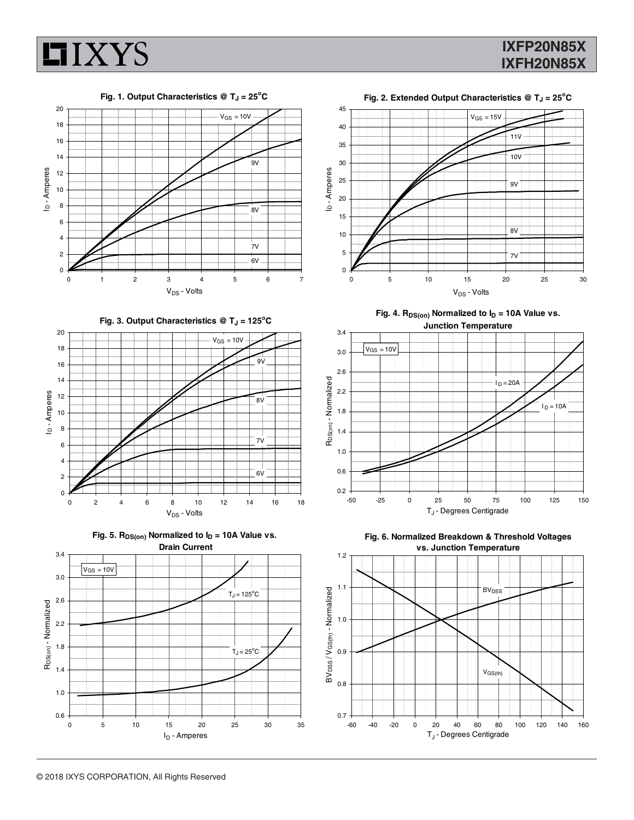

## **IXFP20N85X IXFH20N85X**

T<sub>J</sub> - Degrees Centigrade



I<sub>D</sub> - Amperes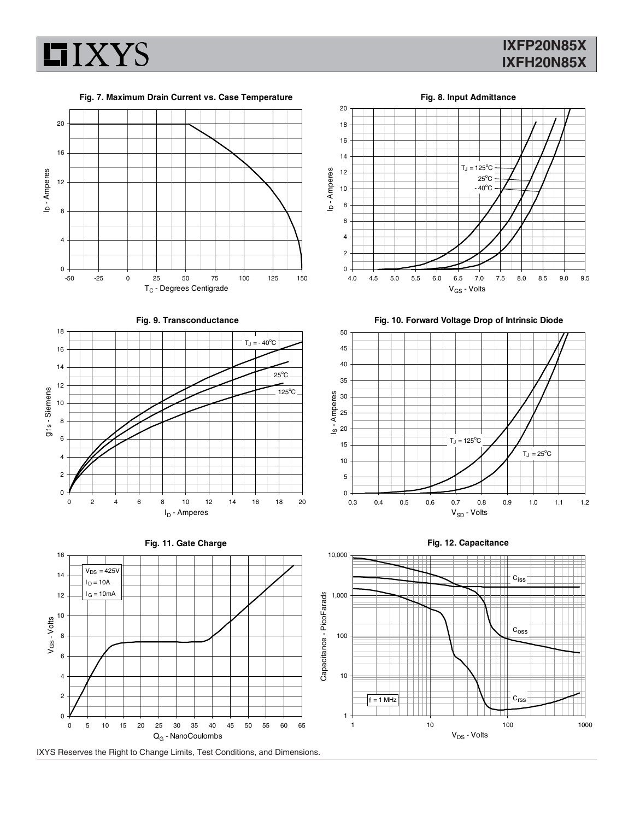

### **IXFP20N85X IXFH20N85X**

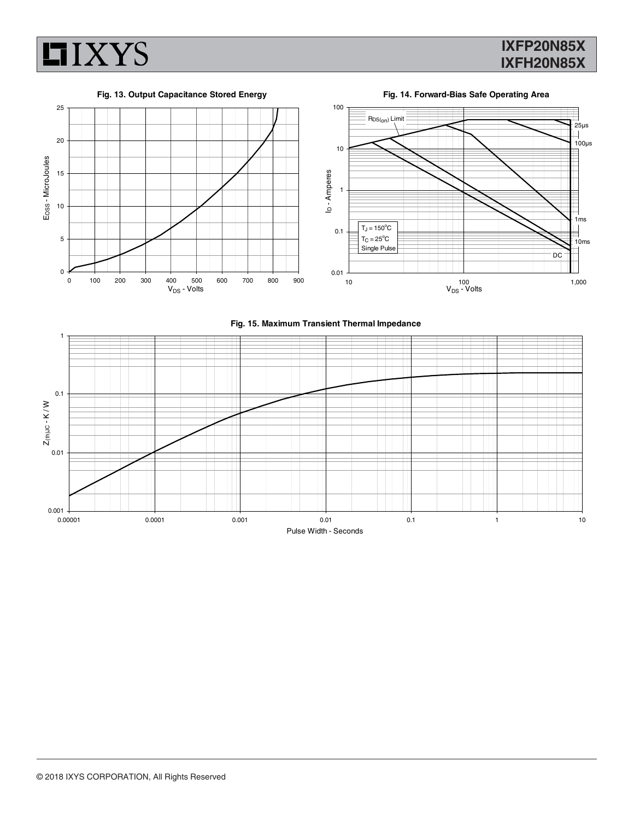

## **IXFP20N85X IXFH20N85X**